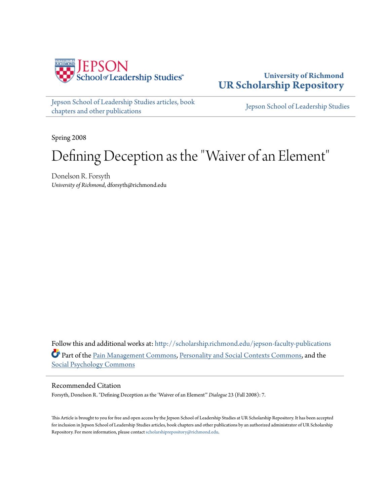

**University of Richmond [UR Scholarship Repository](http://scholarship.richmond.edu?utm_source=scholarship.richmond.edu%2Fjepson-faculty-publications%2F167&utm_medium=PDF&utm_campaign=PDFCoverPages)**

[Jepson School of Leadership Studies articles, book](http://scholarship.richmond.edu/jepson-faculty-publications?utm_source=scholarship.richmond.edu%2Fjepson-faculty-publications%2F167&utm_medium=PDF&utm_campaign=PDFCoverPages) [chapters and other publications](http://scholarship.richmond.edu/jepson-faculty-publications?utm_source=scholarship.richmond.edu%2Fjepson-faculty-publications%2F167&utm_medium=PDF&utm_campaign=PDFCoverPages)

[Jepson School of Leadership Studies](http://scholarship.richmond.edu/jepson?utm_source=scholarship.richmond.edu%2Fjepson-faculty-publications%2F167&utm_medium=PDF&utm_campaign=PDFCoverPages)

Spring 2008

## Defining Deception as the "Waiver of an Element"

Donelson R. Forsyth *University of Richmond*, dforsyth@richmond.edu

Follow this and additional works at: [http://scholarship.richmond.edu/jepson-faculty-publications](http://scholarship.richmond.edu/jepson-faculty-publications?utm_source=scholarship.richmond.edu%2Fjepson-faculty-publications%2F167&utm_medium=PDF&utm_campaign=PDFCoverPages) Part of the [Pain Management Commons](http://network.bepress.com/hgg/discipline/1274?utm_source=scholarship.richmond.edu%2Fjepson-faculty-publications%2F167&utm_medium=PDF&utm_campaign=PDFCoverPages), [Personality and Social Contexts Commons,](http://network.bepress.com/hgg/discipline/413?utm_source=scholarship.richmond.edu%2Fjepson-faculty-publications%2F167&utm_medium=PDF&utm_campaign=PDFCoverPages) and the [Social Psychology Commons](http://network.bepress.com/hgg/discipline/414?utm_source=scholarship.richmond.edu%2Fjepson-faculty-publications%2F167&utm_medium=PDF&utm_campaign=PDFCoverPages)

Recommended Citation

Forsyth, Donelson R. "Defining Deception as the 'Waiver of an Element'" *Dialogue* 23 (Fall 2008): 7.

This Article is brought to you for free and open access by the Jepson School of Leadership Studies at UR Scholarship Repository. It has been accepted for inclusion in Jepson School of Leadership Studies articles, book chapters and other publications by an authorized administrator of UR Scholarship Repository. For more information, please contact [scholarshiprepository@richmond.edu.](mailto:scholarshiprepository@richmond.edu)